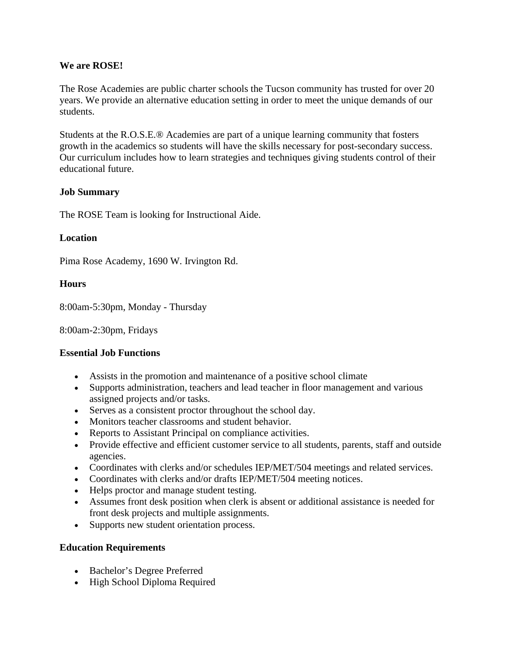## **We are ROSE!**

The Rose Academies are public charter schools the Tucson community has trusted for over 20 years. We provide an alternative education setting in order to meet the unique demands of our students.

Students at the R.O.S.E.® Academies are part of a unique learning community that fosters growth in the academics so students will have the skills necessary for post-secondary success. Our curriculum includes how to learn strategies and techniques giving students control of their educational future.

## **Job Summary**

The ROSE Team is looking for Instructional Aide.

## **Location**

Pima Rose Academy, 1690 W. Irvington Rd.

## **Hours**

8:00am-5:30pm, Monday - Thursday

8:00am-2:30pm, Fridays

#### **Essential Job Functions**

- Assists in the promotion and maintenance of a positive school climate
- Supports administration, teachers and lead teacher in floor management and various assigned projects and/or tasks.
- Serves as a consistent proctor throughout the school day.
- Monitors teacher classrooms and student behavior.
- Reports to Assistant Principal on compliance activities.
- Provide effective and efficient customer service to all students, parents, staff and outside agencies.
- Coordinates with clerks and/or schedules IEP/MET/504 meetings and related services.
- Coordinates with clerks and/or drafts IEP/MET/504 meeting notices.
- Helps proctor and manage student testing.
- Assumes front desk position when clerk is absent or additional assistance is needed for front desk projects and multiple assignments.
- Supports new student orientation process.

#### **Education Requirements**

- Bachelor's Degree Preferred
- High School Diploma Required